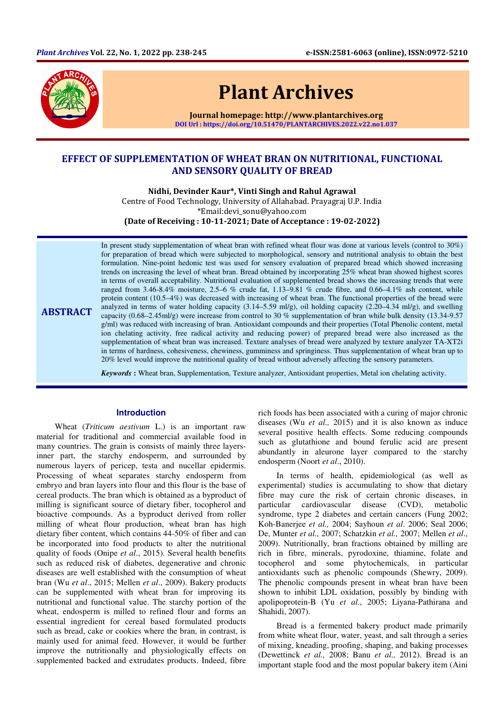

**ABSTRACT** 

# Plant Archives

Journal homepage: http://www.plantarchives.org DOI Url : https://doi.org/10.51470/PLANTARCHIVES.2022.v22.no1.037

# EFFECT OF SUPPLEMENTATION OF WHEAT BRAN ON NUTRITIONAL, FUNCTIONAL AND SENSORY QUALITY OF BREAD

Nidhi, Devinder Kaur\*, Vinti Singh and Rahul Agrawal

Centre of Food Technology, University of Allahabad. Prayagraj U.P. India \*Email:devi\_sonu@yahoo.com

(Date of Receiving : 10-11-2021; Date of Acceptance : 19-02-2022)

In present study supplementation of wheat bran with refined wheat flour was done at various levels (control to 30%) for preparation of bread which were subjected to morphological, sensory and nutritional analysis to obtain the best formulation. Nine-point hedonic test was used for sensory evaluation of prepared bread which showed increasing trends on increasing the level of wheat bran. Bread obtained by incorporating 25% wheat bran showed highest scores in terms of overall acceptability. Nutritional evaluation of supplemented bread shows the increasing trends that were ranged from 3.46-8.4% moisture, 2.5–6 % crude fat,  $1.13-9.81$  % crude fibre, and 0.66–4.1% ash content, while protein content (10.5–4%) was decreased with increasing of wheat bran. The functional properties of the bread were analyzed in terms of water holding capacity  $(3.14-5.59 \text{ ml/g})$ , oil holding capacity  $(2.20-4.34 \text{ ml/g})$ , and swelling capacity (0.68–2.45ml/g) were increase from control to 30 % supplementation of bran while bulk density (13.34-9.57 g/ml) was reduced with increasing of bran. Antioxidant compounds and their properties (Total Phenolic content, metal ion chelating activity, free radical activity and reducing power) of prepared bread were also increased as the supplementation of wheat bran was increased. Texture analyses of bread were analyzed by texture analyzer TA-XT2i in terms of hardness, cohesiveness, chewiness, gumminess and springiness. Thus supplementation of wheat bran up to 20% level would improve the nutritional quality of bread without adversely affecting the sensory parameters.

*Keywords* **:** Wheat bran, Supplementation, Texture analyzer, Antioxidant properties, Metal ion chelating activity.

# **Introduction**

Wheat (*Triticum aestivum* L.) is an important raw material for traditional and commercial available food in many countries. The grain is consists of mainly three layersinner part, the starchy endosperm, and surrounded by numerous layers of pericep, testa and nucellar epidermis. Processing of wheat separates starchy endosperm from embryo and bran layers into flour and this flour is the base of cereal products. The bran which is obtained as a byproduct of milling is significant source of dietary fiber, tocopherol and bioactive compounds. As a byproduct derived from roller milling of wheat flour production, wheat bran has high dietary fiber content, which contains 44-50% of fiber and can be incorporated into food products to alter the nutritional quality of foods (Onipe *et al*., 2015). Several health benefits such as reduced risk of diabetes, degenerative and chronic diseases are well established with the consumption of wheat bran (Wu *et al*., 2015; Mellen *et al*., 2009). Bakery products can be supplemented with wheat bran for improving its nutritional and functional value. The starchy portion of the wheat, endosperm is milled to refined flour and forms an essential ingredient for cereal based formulated products such as bread, cake or cookies where the bran, in contrast, is mainly used for animal feed. However, it would be further improve the nutritionally and physiologically effects on supplemented backed and extrudates products. Indeed, fibre

rich foods has been associated with a curing of major chronic diseases (Wu *et al.,* 2015) and it is also known as induce several positive health effects. Some reducing compounds such as glutathione and bound ferulic acid are present abundantly in aleurone layer compared to the starchy endosperm (Noort *et al*., 2010).

In terms of health, epidemiological (as well as experimental) studies is accumulating to show that dietary fibre may cure the risk of certain chronic diseases, in particular cardiovascular disease (CVD), metabolic syndrome, type 2 diabetes and certain cancers (Fung 2002; Koh-Banerjee *et al.,* 2004; Sayhoun *et al*. 2006; Seal 2006; De, Munter *et al.,* 2007; Schatzkin *et al.,* 2007; Mellen *et al*., 2009). Nutritionally, bran fractions obtained by milling are rich in fibre, minerals, pyrodoxine, thiamine, folate and tocopherol and some phytochemicals, in particular antioxidants such as phenolic compounds (Shewry, 2009). The phenolic compounds present in wheat bran have been shown to inhibit LDL oxidation, possibly by binding with apolipoprotein-B (Yu *et al*., 2005; Liyana-Pathirana and Shahidi, 2007).

Bread is a fermented bakery product made primarily from white wheat flour, water, yeast, and salt through a series of mixing, kneading, proofing, shaping, and baking processes (Dewettinck *et al.,* 2008; Banu *et al.,* 2012). Bread is an important staple food and the most popular bakery item (Aini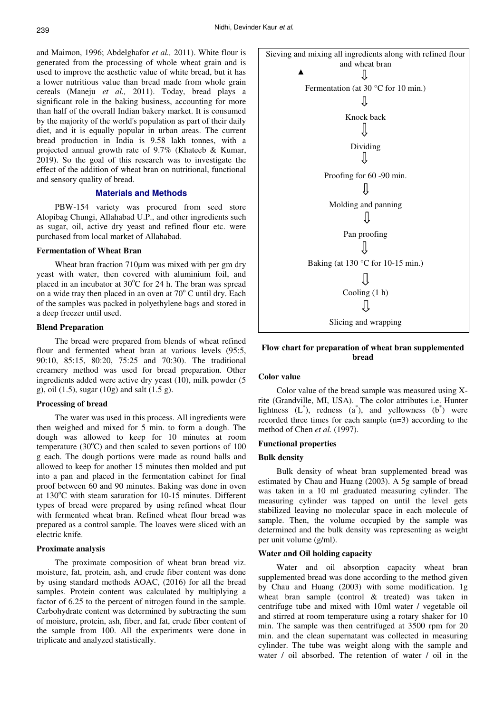and Maimon, 1996; Abdelghafor *et al.,* 2011). White flour is generated from the processing of whole wheat grain and is used to improve the aesthetic value of white bread, but it has a lower nutritious value than bread made from whole grain cereals (Maneju *et al.,* 2011). Today, bread plays a significant role in the baking business, accounting for more than half of the overall Indian bakery market. It is consumed by the majority of the world's population as part of their daily diet, and it is equally popular in urban areas. The current bread production in India is 9.58 lakh tonnes, with a projected annual growth rate of 9.7% (Khateeb & Kumar, 2019). So the goal of this research was to investigate the effect of the addition of wheat bran on nutritional, functional and sensory quality of bread.

# **Materials and Methods**

PBW-154 variety was procured from seed store Alopibag Chungi, Allahabad U.P., and other ingredients such as sugar, oil, active dry yeast and refined flour etc. were purchased from local market of Allahabad.

# **Fermentation of Wheat Bran**

Wheat bran fraction 710um was mixed with per gm dry yeast with water, then covered with aluminium foil, and placed in an incubator at  $30^{\circ}$ C for 24 h. The bran was spread on a wide tray then placed in an oven at  $70^{\circ}$  C until dry. Each of the samples was packed in polyethylene bags and stored in a deep freezer until used.

# **Blend Preparation**

The bread were prepared from blends of wheat refined flour and fermented wheat bran at various levels (95:5, 90:10, 85:15, 80:20, 75:25 and 70:30). The traditional creamery method was used for bread preparation. Other ingredients added were active dry yeast (10), milk powder (5 g), oil (1.5), sugar (10g) and salt (1.5 g).

#### **Processing of bread**

The water was used in this process. All ingredients were then weighed and mixed for 5 min. to form a dough. The dough was allowed to keep for 10 minutes at room temperature  $(30^{\circ}C)$  and then scaled to seven portions of 100 g each. The dough portions were made as round balls and allowed to keep for another 15 minutes then molded and put into a pan and placed in the fermentation cabinet for final proof between 60 and 90 minutes. Baking was done in oven at  $130^{\circ}$ C with steam saturation for 10-15 minutes. Different types of bread were prepared by using refined wheat flour with fermented wheat bran. Refined wheat flour bread was prepared as a control sample. The loaves were sliced with an electric knife.

# **Proximate analysis**

The proximate composition of wheat bran bread viz. moisture, fat, protein, ash, and crude fiber content was done by using standard methods AOAC, (2016) for all the bread samples. Protein content was calculated by multiplying a factor of 6.25 to the percent of nitrogen found in the sample. Carbohydrate content was determined by subtracting the sum of moisture, protein, ash, fiber, and fat, crude fiber content of the sample from 100. All the experiments were done in triplicate and analyzed statistically.



# **Flow chart for preparation of wheat bran supplemented bread**

# **Color value**

Color value of the bread sample was measured using Xrite (Grandville, MI, USA). The color attributes i.e. Hunter lightness  $(L^*)$ , redness  $(a^*)$ , and yellowness  $(b^*)$  were recorded three times for each sample (n=3) according to the method of Chen *et al.* (1997).

# **Functional properties**

# **Bulk density**

Bulk density of wheat bran supplemented bread was estimated by Chau and Huang (2003). A 5g sample of bread was taken in a 10 ml graduated measuring cylinder. The measuring cylinder was tapped on until the level gets stabilized leaving no molecular space in each molecule of sample. Then, the volume occupied by the sample was determined and the bulk density was representing as weight per unit volume (g/ml).

#### **Water and Oil holding capacity**

Water and oil absorption capacity wheat bran supplemented bread was done according to the method given by Chau and Huang (2003) with some modification. 1g wheat bran sample (control & treated) was taken in centrifuge tube and mixed with 10ml water / vegetable oil and stirred at room temperature using a rotary shaker for 10 min. The sample was then centrifuged at 3500 rpm for 20 min. and the clean supernatant was collected in measuring cylinder. The tube was weight along with the sample and water / oil absorbed. The retention of water / oil in the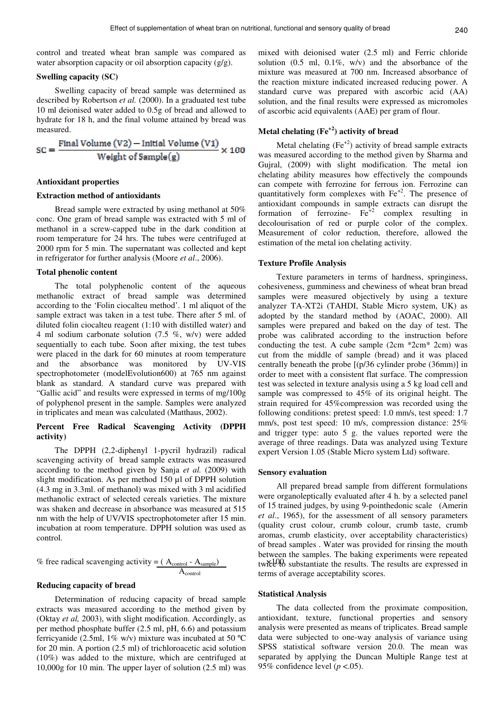control and treated wheat bran sample was compared as water absorption capacity or oil absorption capacity (g/g).

# **Swelling capacity (SC)**

Swelling capacity of bread sample was determined as described by Robertson *et al.* (2000). In a graduated test tube 10 ml deionised water added to 0.5g of bread and allowed to hydrate for 18 h, and the final volume attained by bread was measured.

$$
SC = \frac{Final Volume (V2) - Initial Volume (V1)}{Weight of Sample(g)} \times 100
$$

#### **Antioxidant properties**

## **Extraction method of antioxidants**

Bread sample were extracted by using methanol at 50% conc. One gram of bread sample was extracted with 5 ml of methanol in a screw-capped tube in the dark condition at room temperature for 24 hrs. The tubes were centrifuged at 2000 rpm for 5 min. The supernatant was collected and kept in refrigerator for further analysis (Moore *et al*., 2006).

#### **Total phenolic content**

The total polyphenolic content of the aqueous methanolic extract of bread sample was determined according to the 'Folin ciocalteu method'. 1 ml aliquot of the sample extract was taken in a test tube. There after 5 ml. of diluted folin ciocalteu reagent (1:10 with distilled water) and 4 ml sodium carbonate solution (7.5 %, w/v) were added sequentially to each tube. Soon after mixing, the test tubes were placed in the dark for 60 minutes at room temperature and the absorbance was monitored by UV-VIS spectrophotometer (modelEvolution600) at 765 nm against blank as standard. A standard curve was prepared with "Gallic acid" and results were expressed in terms of mg/100g of polyphenol present in the sample. Samples were analyzed in triplicates and mean was calculated (Matthaus, 2002).

#### **Percent Free Radical Scavenging Activity (DPPH activity)**

The DPPH (2,2-diphenyl 1-pycril hydrazil) radical scavenging activity of bread sample extracts was measured according to the method given by Sanja *et al.* (2009) with slight modification. As per method 150 µl of DPPH solution (4.3 mg in 3.3ml. of methanol) was mixed with 3 ml acidified methanolic extract of selected cereals varieties. The mixture was shaken and decrease in absorbance was measured at 515 nm with the help of UV/VIS spectrophotometer after 15 min. incubation at room temperature. DPPH solution was used as control.

% free radical scavenging activity = 
$$
(A_{control} - A_{sample})
$$
twřel<sup>0</sup>  
  $A_{control}$  terms of

#### **Reducing capacity of bread**

Determination of reducing capacity of bread sample extracts was measured according to the method given by (Oktay *et al,* 2003), with slight modification. Accordingly, as per method phosphate buffer (2.5 ml, pH, 6.6) and potassium ferricyanide (2.5ml,  $1\%$  w/v) mixture was incubated at 50 °C for 20 min. A portion (2.5 ml) of trichloroacetic acid solution (10%) was added to the mixture, which are centrifuged at 10,000g for 10 min. The upper layer of solution (2.5 ml) was

mixed with deionised water (2.5 ml) and Ferric chloride solution (0.5 ml, 0.1%, w/v) and the absorbance of the mixture was measured at 700 nm. Increased absorbance of the reaction mixture indicated increased reducing power. A standard curve was prepared with ascorbic acid (AA) solution, and the final results were expressed as micromoles of ascorbic acid equivalents (AAE) per gram of flour.

# **Metal chelating (Fe+2) activity of bread**

Metal chelating  $(Fe^{+2})$  activity of bread sample extracts was measured according to the method given by Sharma and Gujral, (2009) with slight modification. The metal ion chelating ability measures how effectively the compounds can compete with ferrozine for ferrous ion. Ferrozine can quantitatively form complexes with Fe+2. The presence of antioxidant compounds in sample extracts can disrupt the formation of ferrozine-  $\overline{Fe}^{2}$  complex resulting in decolourisation of red or purple color of the complex. Measurement of color reduction, therefore, allowed the estimation of the metal ion chelating activity.

#### **Texture Profile Analysis**

Texture parameters in terms of hardness, springiness, cohesiveness, gumminess and chewiness of wheat bran bread samples were measured objectively by using a texture analyzer TA-XT2i (TAHDI, Stable Micro system, UK) as adopted by the standard method by (AOAC, 2000). All samples were prepared and baked on the day of test. The probe was calibrated according to the instruction before conducting the test. A cube sample  $(2cm * 2cm * 2cm)$  was cut from the middle of sample (bread) and it was placed centrally beneath the probe [(p/36 cylinder probe (36mm)] in order to meet with a consistent flat surface. The compression test was selected in texture analysis using a 5 kg load cell and sample was compressed to 45% of its original height. The strain required for 45%compression was recorded using the following conditions: pretest speed: 1.0 mm/s, test speed: 1.7 mm/s, post test speed: 10 m/s, compression distance: 25% and trigger type: auto 5 g. the values reported were the average of three readings. Data was analyzed using Texture expert Version 1.05 (Stable Micro system Ltd) software.

#### **Sensory evaluation**

All prepared bread sample from different formulations were organoleptically evaluated after 4 h. by a selected panel of 15 trained judges, by using 9-pointhedonic scale (Amerin *et al*., 1965), for the assessment of all sensory parameters (quality crust colour, crumb colour, crumb taste, crumb aromas, crumb elasticity, over acceptability characteristics) of bread samples . Water was provided for rinsing the mouth between the samples. The baking experiments were repeated twice to substantiate the results. The results are expressed in terms of average acceptability scores.

#### **Statistical Analysis**

The data collected from the proximate composition, antioxidant, texture, functional properties and sensory analysis were presented as means of triplicates. Bread sample data were subjected to one-way analysis of variance using SPSS statistical software version 20.0. The mean was separated by applying the Duncan Multiple Range test at 95% confidence level (*p* <.05).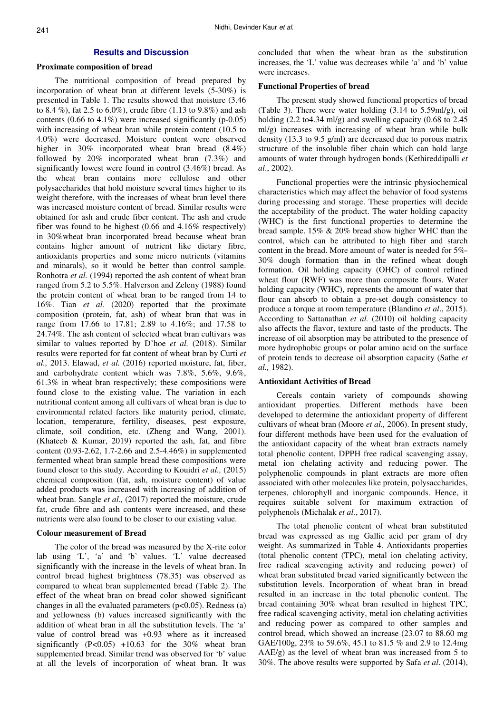# **Results and Discussion**

#### **Proximate composition of bread**

The nutritional composition of bread prepared by incorporation of wheat bran at different levels (5-30%) is presented in Table 1. The results showed that moisture (3.46 to 8.4 %), fat 2.5 to 6.0%), crude fibre (1.13 to 9.8%) and ash contents (0.66 to 4.1%) were increased significantly (p-0.05) with increasing of wheat bran while protein content (10.5 to 4.0%) were decreased. Moisture content were observed higher in 30% incorporated wheat bran bread  $(8.4\%)$ followed by 20% incorporated wheat bran (7.3%) and significantly lowest were found in control (3.46%) bread. As the wheat bran contains more cellulose and other polysaccharides that hold moisture several times higher to its weight therefore, with the increases of wheat bran level there was increased moisture content of bread. Similar results were obtained for ash and crude fiber content. The ash and crude fiber was found to be highest (0.66 and 4.16% respectively) in 30%wheat bran incorporated bread because wheat bran contains higher amount of nutrient like dietary fibre, antioxidants properties and some micro nutrients (vitamins and minarals), so it would be better than control sample. Ronhotra *et al.* (1994) reported the ash content of wheat bran ranged from 5.2 to 5.5%. Halverson and Zeleny (1988) found the protein content of wheat bran to be ranged from 14 to 16%. Tian *et al.* (2020) reported that the proximate composition (protein, fat, ash) of wheat bran that was in range from 17.66 to 17.81; 2.89 to 4.16%; and 17.58 to 24.74%. The ash content of selected wheat bran cultivars was similar to values reported by D'hoe *et al.* (2018). Similar results were reported for fat content of wheat bran by Curti *et al.,* 2013. Elawad, *et al.* (2016) reported moisture, fat, fiber, and carbohydrate content which was 7.8%, 5.6%, 9.6%, 61.3% in wheat bran respectively; these compositions were found close to the existing value. The variation in each nutritional content among all cultivars of wheat bran is due to environmental related factors like maturity period, climate, location, temperature, fertility, diseases, pest exposure, climate, soil condition, etc. (Zheng and Wang, 2001). (Khateeb & Kumar, 2019) reported the ash, fat, and fibre content (0.93-2.62, 1.7-2.66 and 2.5-4.46%) in supplemented fermented wheat bran sample bread these compositions were found closer to this study. According to Kouidri *et al.,* (2015) chemical composition (fat, ash, moisture content) of value added products was increased with increasing of addition of wheat bran. Sangle *et al.,* (2017) reported the moisture, crude fat, crude fibre and ash contents were increased, and these nutrients were also found to be closer to our existing value.

#### **Colour measurement of Bread**

The color of the bread was measured by the X-rite color lab using 'L', 'a' and 'b' values. 'L' value decreased significantly with the increase in the levels of wheat bran. In control bread highest brightness (78.35) was observed as compared to wheat bran supplemented bread (Table 2). The effect of the wheat bran on bread color showed significant changes in all the evaluated parameters  $(p<0.05)$ . Redness  $(a)$ and yellowness (b) values increased significantly with the addition of wheat bran in all the substitution levels. The 'a' value of control bread was +0.93 where as it increased significantly  $(P<0.05)$  +10.63 for the 30% wheat bran supplemented bread. Similar trend was observed for 'b' value at all the levels of incorporation of wheat bran. It was concluded that when the wheat bran as the substitution increases, the 'L' value was decreases while 'a' and 'b' value were increases.

#### **Functional Properties of bread**

The present study showed functional properties of bread (Table 3). There were water holding (3.14 to 5.59ml/g), oil holding (2.2 to 4.34 ml/g) and swelling capacity (0.68 to 2.45 ml/g) increases with increasing of wheat bran while bulk density (13.3 to 9.5 g/ml) are decreased due to porous matrix structure of the insoluble fiber chain which can hold large amounts of water through hydrogen bonds (Kethireddipalli *et al*., 2002).

Functional properties were the intrinsic physiochemical characteristics which may affect the behavior of food systems during processing and storage. These properties will decide the acceptability of the product. The water holding capacity (WHC) is the first functional properties to determine the bread sample. 15% & 20% bread show higher WHC than the control, which can be attributed to high fiber and starch content in the bread. More amount of water is needed for 5%- 30% dough formation than in the refined wheat dough formation. Oil holding capacity (OHC) of control refined wheat flour (RWF) was more than composite flours. Water holding capacity (WHC), represents the amount of water that flour can absorb to obtain a pre-set dough consistency to produce a torque at room temperature (Blandino *et al*., 2015). According to Sattanathan *et al.* (2010) oil holding capacity also affects the flavor, texture and taste of the products. The increase of oil absorption may be attributed to the presence of more hydrophobic groups or polar amino acid on the surface of protein tends to decrease oil absorption capacity (Sathe *et al.,* 1982).

#### **Antioxidant Activities of Bread**

Cereals contain variety of compounds showing antioxidant properties. Different methods have been developed to determine the antioxidant property of different cultivars of wheat bran (Moore *et al.,* 2006). In present study, four different methods have been used for the evaluation of the antioxidant capacity of the wheat bran extracts namely total phenolic content, DPPH free radical scavenging assay, metal ion chelating activity and reducing power. The polyphenolic compounds in plant extracts are more often associated with other molecules like protein, polysaccharides, terpenes, chlorophyll and inorganic compounds. Hence, it requires suitable solvent for maximum extraction of polyphenols (Michalak *et al.*, 2017).

The total phenolic content of wheat bran substituted bread was expressed as mg Gallic acid per gram of dry weight. As summarized in Table 4. Antioxidants properties (total phenolic content (TPC), metal ion chelating activity, free radical scavenging activity and reducing power) of wheat bran substituted bread varied significantly between the substitution levels. Incorporation of wheat bran in bread resulted in an increase in the total phenolic content. The bread containing 30% wheat bran resulted in highest TPC, free radical scavenging activity, metal ion chelating activities and reducing power as compared to other samples and control bread, which showed an increase (23.07 to 88.60 mg GAE/100g, 23% to 59.6%, 45.1 to 81.5 % and 2.9 to 12.4mg AAE/g) as the level of wheat bran was increased from 5 to 30%. The above results were supported by Safa *et al*. (2014),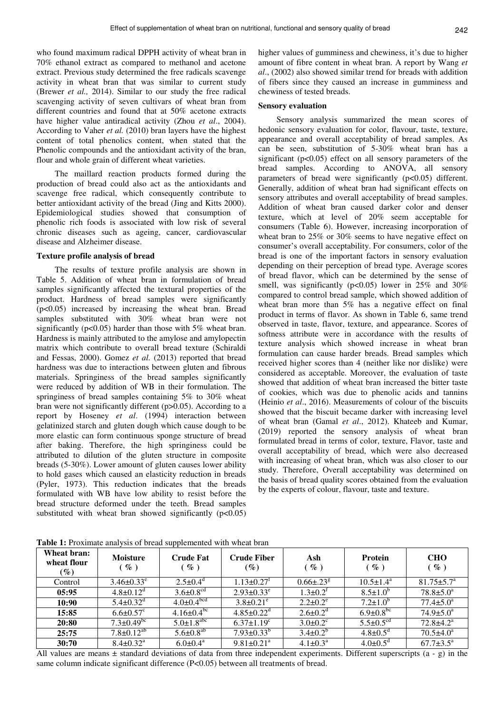who found maximum radical DPPH activity of wheat bran in 70% ethanol extract as compared to methanol and acetone extract. Previous study determined the free radicals scavenge activity in wheat bran that was similar to current study (Brewer *et al.,* 2014). Similar to our study the free radical scavenging activity of seven cultivars of wheat bran from different countries and found that at 50% acetone extracts have higher value antiradical activity (Zhou *et al*., 2004). According to Vaher *et al.* (2010) bran layers have the highest content of total phenolics content, when stated that the Phenolic compounds and the antioxidant activity of the bran, flour and whole grain of different wheat varieties.

The maillard reaction products formed during the production of bread could also act as the antioxidants and scavenge free radical, which consequently contribute to better antioxidant activity of the bread (Jing and Kitts 2000). Epidemiological studies showed that consumption of phenolic rich foods is associated with low risk of several chronic diseases such as ageing, cancer, cardiovascular disease and Alzheimer disease.

#### **Texture profile analysis of bread**

The results of texture profile analysis are shown in Table 5. Addition of wheat bran in formulation of bread samples significantly affected the textural properties of the product. Hardness of bread samples were significantly (p<0.05) increased by increasing the wheat bran. Bread samples substituted with 30% wheat bran were not significantly ( $p<0.05$ ) harder than those with 5% wheat bran. Hardness is mainly attributed to the amylose and amylopectin matrix which contribute to overall bread texture (Schiraldi and Fessas, 2000). Gomez *et al.* (2013) reported that bread hardness was due to interactions between gluten and fibrous materials. Springiness of the bread samples significantly were reduced by addition of WB in their formulation. The springiness of bread samples containing 5% to 30% wheat bran were not significantly different (p>0.05). According to a report by Hoseney *et al*. (1994) interaction between gelatinized starch and gluten dough which cause dough to be more elastic can form continuous sponge structure of bread after baking. Therefore, the high springiness could be attributed to dilution of the gluten structure in composite breads (5-30%). Lower amount of gluten causes lower ability to hold gases which caused an elasticity reduction in breads (Pyler, 1973). This reduction indicates that the breads formulated with WB have low ability to resist before the bread structure deformed under the teeth. Bread samples substituted with wheat bran showed significantly  $(p<0.05)$ 

higher values of gumminess and chewiness, it's due to higher amount of fibre content in wheat bran. A report by Wang *et al*., (2002) also showed similar trend for breads with addition of fibers since they caused an increase in gumminess and chewiness of tested breads.

# **Sensory evaluation**

Sensory analysis summarized the mean scores of hedonic sensory evaluation for color, flavour, taste, texture, appearance and overall acceptability of bread samples. As can be seen, substitution of 5-30% wheat bran has a significant  $(p<0.05)$  effect on all sensory parameters of the bread samples. According to ANOVA, all sensory parameters of bread were significantly  $(p<0.05)$  different. Generally, addition of wheat bran had significant effects on sensory attributes and overall acceptability of bread samples. Addition of wheat bran caused darker color and denser texture, which at level of 20% seem acceptable for consumers (Table 6). However, increasing incorporation of wheat bran to 25% or 30% seems to have negative effect on consumer's overall acceptability. For consumers, color of the bread is one of the important factors in sensory evaluation depending on their perception of bread type. Average scores of bread flavor, which can be determined by the sense of smell, was significantly ( $p<0.05$ ) lower in 25% and 30% compared to control bread sample, which showed addition of wheat bran more than 5% has a negative effect on final product in terms of flavor. As shown in Table 6, same trend observed in taste, flavor, texture, and appearance. Scores of softness attribute were in accordance with the results of texture analysis which showed increase in wheat bran formulation can cause harder breads. Bread samples which received higher scores than 4 (neither like nor dislike) were considered as acceptable. Moreover, the evaluation of taste showed that addition of wheat bran increased the bitter taste of cookies, which was due to phenolic acids and tannins (Heinio *et al*., 2016). Measurements of colour of the biscuits showed that the biscuit became darker with increasing level of wheat bran (Gamal *et al*., 2012). Khateeb and Kumar, (2019) reported the sensory analysis of wheat bran formulated bread in terms of color, texture, Flavor, taste and overall acceptability of bread, which were also decreased with increasing of wheat bran, which was also closer to our study. Therefore, Overall acceptability was determined on the basis of bread quality scores obtained from the evaluation by the experts of colour, flavour, taste and texture.

| Wheat bran:<br>wheat flour<br>$(\%)$ | <b>Moisture</b><br>$\%$ )    | <b>Crude Fat</b><br>$\%$ )   | <b>Crude Fiber</b><br>$(\%)$ | Ash<br>$\%$ )                | <b>Protein</b><br>$\%$ )    | <b>CHO</b><br>$\%$ )        |
|--------------------------------------|------------------------------|------------------------------|------------------------------|------------------------------|-----------------------------|-----------------------------|
| Control                              | $3.46\pm0.33^e$              | $2.5 \pm 0.4^{\circ}$        | $1.13 \pm 0.27$ <sup>T</sup> | $0.66 \pm 0.23$ <sup>g</sup> | $10.5 \pm 1.4^{\text{a}}$   | $81.75 \pm 5.7^{\circ}$     |
| 05:95                                | $4.8 \pm 0.12^{\text{d}}$    | $3.6 \pm 0.8$ <sup>cd</sup>  | $2.93 \pm 0.33^e$            | $1.3 \pm 0.2^t$              | $8.5 \pm 1.0^{\circ}$       | $78.8 \pm 5.0^a$            |
| 10:90                                | $5.4 \pm 0.32$ <sup>d</sup>  | $4.0 \pm 0.4$ <sup>bcd</sup> | $3.8 \pm 0.21^e$             | $2.2 \pm 0.2^e$              | $7.2 \pm 1.0^b$             | $77.4 \pm 5.0^{\circ}$      |
| 15:85                                | $6.6 \pm 0.57$ <sup>c</sup>  | $4.16 \pm 0.4^{\rm bc}$      | $4.85 \pm 0.22$ <sup>d</sup> | $2.6 \pm 0.2$ <sup>d</sup>   | $6.9 \pm 0.8^{\rm bc}$      | $74.9 \pm 5.0^a$            |
| 20:80                                | $7.3 \pm 0.49$ <sup>bc</sup> | $5.0 \pm 1.8$ <sup>abc</sup> | $6.37 \pm 1.19^c$            | $3.0\pm0.2^{\circ}$          | $5.5 \pm 0.5$ <sup>cd</sup> | $72.8 \pm 4.2^{\mathrm{a}}$ |
| 25:75                                | $7.8 \pm 0.12^{ab}$          | $5.6 \pm 0.8$ <sup>ab</sup>  | $7.93 \pm 0.33^b$            | $3.4\pm0.2^{b}$              | $4.8 \pm 0.5$ <sup>d</sup>  | $70.5 \pm 4.0^a$            |
| 30:70                                | $8.4 \pm 0.32$ <sup>a</sup>  | $6.0 \pm 0.4^a$              | $9.81 \pm 0.21$ <sup>a</sup> | $4.1 \pm 0.3^{\text{a}}$     | $4.0\pm0.5^{\circ}$         | $67.7 \pm 3.5^{\circ}$      |

**Table 1:** Proximate analysis of bread supplemented with wheat bran

All values are means  $\pm$  standard deviations of data from three independent experiments. Different superscripts  $(a - g)$  in the same column indicate significant difference (P<0.05) between all treatments of bread.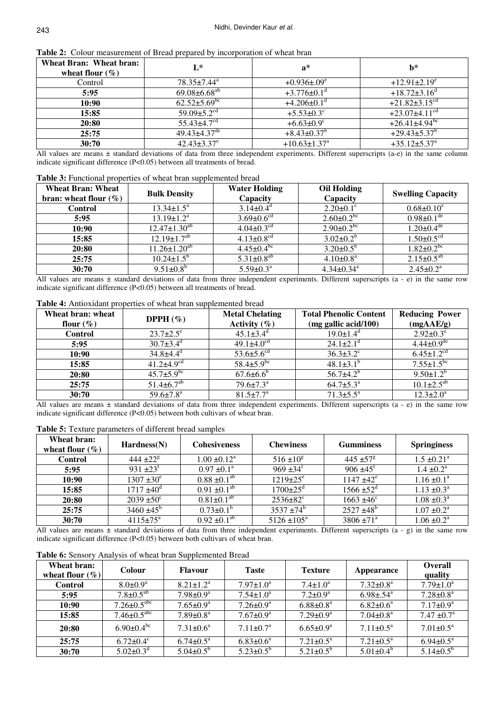| Wheat Bran: Wheat bran:<br>wheat flour $(\% )$ | $L^*$                          | $a^*$                          | $h^*$                           |
|------------------------------------------------|--------------------------------|--------------------------------|---------------------------------|
| Control                                        | $78.35 \pm 7.44^{\text{a}}$    | $+0.936\pm.09^{\circ}$         | $+12.91\pm2.19^{\circ}$         |
| 5:95                                           | $69.08 \pm 6.68$ <sup>ab</sup> | $+3.776 \pm 0.1$ <sup>d</sup>  | $+18.72\pm3.16^{\mathrm{d}}$    |
| 10:90                                          | $62.52 \pm 5.69$ <sup>bc</sup> | $+4.206\pm0.1$ <sup>d</sup>    | $+21.82 \pm 3.15$ <sup>cd</sup> |
| 15:85                                          | 59.09 $\pm$ 5.2 <sup>cd</sup>  | $+5.53 \pm 0.3$ <sup>c</sup>   | $+23.07\pm4.11$ <sup>cd</sup>   |
| 20:80                                          | $55.43 \pm 4.7$ <sup>cd</sup>  | $+6.63 \pm 0.9$ <sup>c</sup>   | $+26.41\pm4.94$ <sup>bc</sup>   |
| 25:75                                          | $49.43 \pm 4.37$ <sup>de</sup> | $+8.43\pm0.37$ <sup>b</sup>    | $+29.43\pm5.37^{\circ}$         |
| 30:70                                          | $42.43 \pm 3.37$ <sup>e</sup>  | $+10.63 \pm 1.37$ <sup>a</sup> | $+35.12 \pm 5.37$ <sup>a</sup>  |

**Table 2:** Colour measurement of Bread prepared by incorporation of wheat bran

All values are means  $\pm$  standard deviations of data from three independent experiments. Different superscripts (a-e) in the same column indicate significant difference (P<0.05) between all treatments of bread.

#### **Table 3:** Functional properties of wheat bran supplemented bread

| <b>Wheat Bran: Wheat</b><br>bran: wheat flour $(\%)$ | <b>Bulk Density</b>              | <b>Water Holding</b><br>Capacity | <b>Oil Holding</b><br>Capacity | <b>Swelling Capacity</b>     |
|------------------------------------------------------|----------------------------------|----------------------------------|--------------------------------|------------------------------|
| <b>Control</b>                                       | $13.34 \pm 1.5^a$                | $3.14 \pm 0.4$ <sup>d</sup>      | $2.20 \pm 0.1$ <sup>c</sup>    | $0.68 \pm 0.10^e$            |
| 5:95                                                 | $13.19 \pm 1.2^a$                | $3.69 \pm 0.6$ <sup>cd</sup>     | $2.60 \pm 0.2^{bc}$            | $0.98 \pm 0.1$ <sup>de</sup> |
| 10:90                                                | $12.47 \pm 1.30^{ab}$            | $4.04 \pm 0.3$ <sup>cd</sup>     | $2.90 \pm 0.2^{bc}$            | $1.20 \pm 0.4$ <sup>de</sup> |
| 15:85                                                | $12.19 \pm 1.7^{ab}$             | $4.13 \pm 0.8$ <sup>cd</sup>     | $3.02 \pm 0.2^b$               | $1.50 \pm 0.5$ <sup>cd</sup> |
| 20:80                                                | $11.26 \pm 1.20^{a\overline{b}}$ | $4.45 \pm 0.4^{\rm bc}$          | $3.20 \pm 0.5^{\rm b}$         | $1.82 \pm 0.2^{\rm bc}$      |
| 25:75                                                | $10.24 \pm 1.5^{\rm b}$          | $5.31 \pm 0.8^{ab}$              | $4.10 \pm 0.8^{\text{a}}$      | $2.15 \pm 0.5^{ab}$          |
| 30:70                                                | $9.51 \pm 0.8^b$                 | $5.59 \pm 0.3^{\text{a}}$        | $4.34\pm0.34$ <sup>a</sup>     | $2.45 \pm 0.2^a$             |

All values are means  $\pm$  standard deviations of data from three independent experiments. Different superscripts (a - e) in the same row indicate significant difference (P<0.05) between all treatments of bread.

**Table 4:** Antioxidant properties of wheat bran supplemented bread

| Wheat bran: wheat<br>flour $(\%)$ | DPPH $(\% )$                 | <b>Metal Chelating</b><br>Activity $(\% )$ | <b>Total Phenolic Content</b><br>(mg gallic acid/100) | <b>Reducing Power</b><br>(mgAAE/g) |
|-----------------------------------|------------------------------|--------------------------------------------|-------------------------------------------------------|------------------------------------|
| <b>Control</b>                    | $23.7 \pm 2.5^e$             | $45.1 \pm 3.4$ <sup>d</sup>                | $19.0 \pm 1.4$ <sup>d</sup>                           | $2.92 \pm 0.3^e$                   |
| 5:95                              | $30.7 \pm 3.4$ <sup>d</sup>  | $49.1 \pm 4.0$ <sup>cd</sup>               | $24.1 + 2.1$ <sup>d</sup>                             | $4.44 \pm 0.9$ <sup>de</sup>       |
| 10:90                             | $34.8 \pm 4.4$ <sup>d</sup>  | $53.6 \pm 5.6$ <sup>cd</sup>               | $36.3 \pm 3.2$ <sup>c</sup>                           | $6.45 \pm 1.2$ <sup>cd</sup>       |
| 15:85                             | $41.2\pm4.9^{\text{cd}}$     | 58.4 $\pm$ 5.9 <sup>bc</sup>               | $48.1 \pm 3.1^{b}$                                    | $7.55 \pm 1.5^{bc}$                |
| 20:80                             | $45.7 \pm 5.9$ <sup>bc</sup> | $67.6{\pm}6.6^b$                           | $56.7 \pm 4.2^b$                                      | $9.50 \pm 1.2^b$                   |
| 25:75                             | $51.4 \pm 6.7$ <sup>ab</sup> | $79.6 \pm 7.3^{\circ}$                     | $64.7 \pm 5.3^{\circ}$                                | $10.1 \pm 2.5^{ab}$                |
| 30:70                             | $59.6{\pm}7.8^{\text{a}}$    | $81.5 \pm 7.7^{\circ}$                     | $71.3 \pm 5.5^{\text{a}}$                             | $12.3 \pm 2.0^a$                   |

All values are means  $\pm$  standard deviations of data from three independent experiments. Different superscripts (a - e) in the same row indicate significant difference (P<0.05) between both cultivars of wheat bran.

**Table 5:** Texture parameters of different bread samples

| Wheat bran:<br>wheat flour $(\% )$ | Hardness(N)             | <b>Cohesiveness</b>       | <b>Chewiness</b>           | <b>Gumminess</b>          | <b>Springiness</b>          |
|------------------------------------|-------------------------|---------------------------|----------------------------|---------------------------|-----------------------------|
| <b>Control</b>                     | 444 $\pm 22^8$          | $1.00 \pm 0.12^a$         | $516 \pm 10^8$             | $445 + 57$ <sup>g</sup>   | $1.5 \pm 0.21$ <sup>a</sup> |
| 5:95                               | 931 $\pm 23^{\text{t}}$ | $0.97 \pm 0.1^{\text{a}}$ | $969 \pm 34^{\text{t}}$    | $906 \pm 45$ <sup>f</sup> | $1.4 \pm 0.2^{\text{a}}$    |
| 10:90                              | $1307 \pm 30^e$         | $0.88 \pm 0.1^{ab}$       | $1219 \pm 25$ <sup>e</sup> | $1147 \pm 42^e$           | $1.16 \pm 0.1^a$            |
| 15:85                              | $1717 \pm 40^{\circ}$   | $0.91 + 0.1^{ab}$         | $1700 \pm 25$ <sup>d</sup> | $1566 \pm 52^{\rm d}$     | $1.13 \pm 0.3^{\text{a}}$   |
| 20:80                              | $2039 \pm 50^{\circ}$   | $0.81 \pm 0.1^{ab}$       | $2536 \pm 82$ <sup>c</sup> | $1663 \pm 46^{\circ}$     | $1.08 \pm 0.3^{\text{a}}$   |
| 25:75                              | $3460 \pm 45^{\circ}$   | $0.73 \pm 0.1^b$          | $3537 + 74^b$              | $2527 \pm 48^{\circ}$     | $1.07 \pm 0.2^{\text{a}}$   |
| 30:70                              | $4115 \pm 75^{\circ}$   | $0.92 \pm 0.1^{ab}$       | $5126 \pm 105^{\rm a}$     | $3806 \pm 71^{\circ}$     | $1.06 \pm 0.2^{\text{a}}$   |

All values are means  $\pm$  standard deviations of data from three independent experiments. Different superscripts  $(a - g)$  in the same row indicate significant difference (P<0.05) between both cultivars of wheat bran.

|  | Table 6: Sensory Analysis of wheat bran Supplemented Bread |  |
|--|------------------------------------------------------------|--|
|  |                                                            |  |

| Wheat bran:<br>wheat flour $(\%) $ | Colour                        | <b>Flavour</b>              | <b>Taste</b>              | <b>Texture</b>              | Appearance                | <b>Overall</b><br>quality |
|------------------------------------|-------------------------------|-----------------------------|---------------------------|-----------------------------|---------------------------|---------------------------|
| <b>Control</b>                     | $8.0 \pm 0.9^a$               | $8.21 \pm 1.2^a$            | $7.97 \pm 1.0^a$          | $7.4 \pm 1.0^a$             | $7.32 \pm 0.8^a$          | $7.79 \pm 1.0^a$          |
| 5:95                               | $7.8 \pm 0.5^{ab}$            | $7.98 \pm 0.9^a$            | $7.54 \pm 1.0^a$          | $7.2 \pm 0.9^{\rm a}$       | $6.98 \pm .54^{\circ}$    | $7.28 \pm 0.8^a$          |
| 10:90                              | $7.26 \pm 0.5$ <sup>abc</sup> | $7.65 \pm 0.9^{\rm a}$      | $7.26 \pm 0.9^a$          | $6.88 \pm 0.8^a$            | $6.82 \pm 0.6^a$          | $7.17 \pm 0.9^{\text{a}}$ |
| 15:85                              | $7.46 \pm 0.5^{\text{abc}}$   | $7.89 \pm 0.8$ <sup>a</sup> | $7.67 \pm 0.9^{\text{a}}$ | $7.29 \pm 0.9^{\mathrm{a}}$ | $7.04 \pm 0.8^{\text{a}}$ | $7.47 \pm 0.7^{\text{a}}$ |
| 20:80                              | $6.90\pm0.4^{bc}$             | $7.31 \pm 0.6^a$            | $7.11 \pm 0.7^{\text{a}}$ | $6.65 \pm 0.9^a$            | $7.11 \pm 0.5^{\text{a}}$ | $7.01 \pm 0.5^{\text{a}}$ |
| 25:75                              | $6.72 \pm 0.4$ <sup>c</sup>   | $6.74 \pm 0.5^{\text{a}}$   | $6.83 \pm 0.6^a$          | $7.21 \pm 0.5^{\text{a}}$   | $7.21 \pm 0.5^{\text{a}}$ | $6.94 \pm 0.5^{\text{a}}$ |
| 30:70                              | $5.02 \pm 0.3^{\circ}$        | $5.04 \pm 0.5^{\circ}$      | $5.23 \pm 0.5^b$          | $5.21 \pm 0.5^b$            | $5.01 \pm 0.4^b$          | $5.14 \pm 0.5^b$          |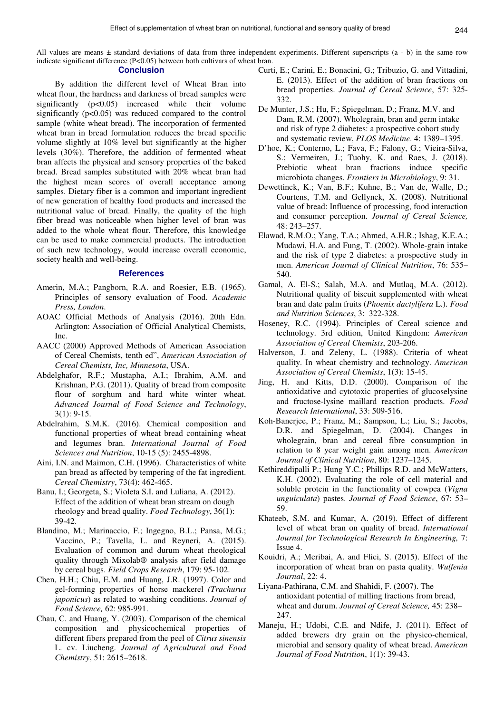All values are means  $\pm$  standard deviations of data from three independent experiments. Different superscripts (a - b) in the same row indicate significant difference (P<0.05) between both cultivars of wheat bran.

#### **Conclusion**

By addition the different level of Wheat Bran into wheat flour, the hardness and darkness of bread samples were significantly (p<0.05) increased while their volume significantly ( $p<0.05$ ) was reduced compared to the control sample (white wheat bread). The incorporation of fermented wheat bran in bread formulation reduces the bread specific volume slightly at 10% level but significantly at the higher levels (30%). Therefore, the addition of fermented wheat bran affects the physical and sensory properties of the baked bread. Bread samples substituted with 20% wheat bran had the highest mean scores of overall acceptance among samples. Dietary fiber is a common and important ingredient of new generation of healthy food products and increased the nutritional value of bread. Finally, the quality of the high fiber bread was noticeable when higher level of bran was added to the whole wheat flour. Therefore, this knowledge can be used to make commercial products. The introduction of such new technology, would increase overall economic, society health and well-being.

# **References**

- Amerin, M.A.; Pangborn, R.A. and Roesier, E.B. (1965). Principles of sensory evaluation of Food. *Academic Press, London*.
- AOAC Official Methods of Analysis (2016). 20th Edn. Arlington: Association of Official Analytical Chemists, Inc.
- AACC (2000) Approved Methods of American Association of Cereal Chemists, tenth ed", *American Association of Cereal Chemists, Inc, Minnesota*, USA.
- Abdelghafor, R.F.; Mustapha, A.I.; Ibrahim, A.M. and Krishnan, P.G. (2011). Quality of bread from composite flour of sorghum and hard white winter wheat. *Advanced Journal of Food Science and Technology*, 3(1): 9-15.
- Abdelrahim, S.M.K. (2016). Chemical composition and functional properties of wheat bread containing wheat and legumes bran. *International Journal of Food Sciences and Nutrition*, 10-15 (5): 2455-4898.
- Aini, I.N. and Maimon, C.H. (1996). Characteristics of white pan bread as affected by tempering of the fat ingredient. *Cereal Chemistry*, 73(4): 462-465.
- Banu, I.; Georgeta, S.; Violeta S.I. and Luliana, A. (2012). Effect of the addition of wheat bran stream on dough rheology and bread quality. *Food Technology*, 36(1): 39-42.
- Blandino, M.; Marinaccio, F.; Ingegno, B.L.; Pansa, M.G.; Vaccino, P.; Tavella, L. and Reyneri, A. (2015). Evaluation of common and durum wheat rheological quality through Mixolab® analysis after field damage by cereal bugs. *Field Crops Research*, 179: 95-102.
- Chen, H.H.; Chiu, E.M. and Huang, J.R. (1997). Color and gel-forming properties of horse mackerel *(Trachurus japonicus*) as related to washing conditions. *Journal of Food Science,* 62: 985-991.
- Chau, C. and Huang, Y. (2003). Comparison of the chemical composition and physicochemical properties of different fibers prepared from the peel of *Citrus sinensis* L. cv. Liucheng. *Journal of Agricultural and Food Chemistry*, 51: 2615–2618.
- Curti, E.; Carini, E.; Bonacini, G.; Tribuzio, G. and Vittadini, E. (2013). Effect of the addition of bran fractions on bread properties. *Journal of Cereal Science*, 57: 325- 332.
- De Munter, J.S.; Hu, F.; Spiegelman, D.; Franz, M.V. and Dam, R.M. (2007). Wholegrain, bran and germ intake and risk of type 2 diabetes: a prospective cohort study and systematic review, *PLOS Medicine*. 4: 1389–1395.
- D'hoe, K.; Conterno, L.; Fava, F.; Falony, G.; Vieira-Silva, S.; Vermeiren, J.; Tuohy, K. and Raes, J. (2018). Prebiotic wheat bran fractions induce specific microbiota changes. *Frontiers in Microbiology*, 9: 31.
- Dewettinck, K.; Van, B.F.; Kuhne, B.; Van de, Walle, D.; Courtens, T.M. and Gellynck, X. (2008). Nutritional value of bread: Influence of processing, food interaction and consumer perception. *Journal of Cereal Science,*  48: 243–257.
- Elawad, R.M.O.; Yang, T.A.; Ahmed, A.H.R.; Ishag, K.E.A.; Mudawi, H.A. and Fung, T. (2002). Whole-grain intake and the risk of type 2 diabetes: a prospective study in men. *American Journal of Clinical Nutrition*, 76: 535– 540.
- Gamal, A. El-S.; Salah, M.A. and Mutlaq, M.A. (2012). Nutritional quality of biscuit supplemented with wheat bran and date palm fruits (*Phoenix dactylifera* L.). *Food and Nutrition Sciences*, 3: 322-328.
- Hoseney, R.C. (1994). Principles of Cereal science and technology. 3rd edition, United Kingdom: *American Association of Cereal Chemists*, 203-206.
- Halverson, J. and Zeleny, L. (1988). Criteria of wheat quality. In wheat chemistry and technology. *American Association of Cereal Chemists*, 1(3): 15-45.
- Jing, H. and Kitts, D.D. (2000). Comparison of the antioxidative and cytotoxic properties of glucoselysine and fructose-lysine maillard reaction products. *Food Research International*, 33: 509-516.
- Koh-Banerjee, P.; Franz, M.; Sampson, L.; Liu, S.; Jacobs, D.R. and Spiegelman, D. (2004). Changes in wholegrain, bran and cereal fibre consumption in relation to 8 year weight gain among men. *American Journal of Clinical Nutrition*, 80: 1237–1245.
- Kethireddipalli P.; Hung Y.C.; Phillips R.D. and McWatters, K.H. (2002). Evaluating the role of cell material and soluble protein in the functionality of cowpea (*Vigna unguiculata*) pastes. *Journal of Food Science*, 67: 53– 59.
- Khateeb, S.M. and Kumar, A. (2019). Effect of different level of wheat bran on quality of bread. *International Journal for Technological Research In Engineering,* 7: Issue 4.
- Kouidri, A.; Meribai, A. and Flici, S. (2015). Effect of the incorporation of wheat bran on pasta quality. *Wulfenia Journal*, 22: 4.
- Liyana-Pathirana, C.M. and Shahidi, F. (2007). The antioxidant potential of milling fractions from bread, wheat and durum. *Journal of Cereal Science,* 45: 238– 247.
- Maneju, H.; Udobi, C.E. and Ndife, J. (2011). Effect of added brewers dry grain on the physico-chemical, microbial and sensory quality of wheat bread. *American Journal of Food Nutrition*, 1(1): 39-43.